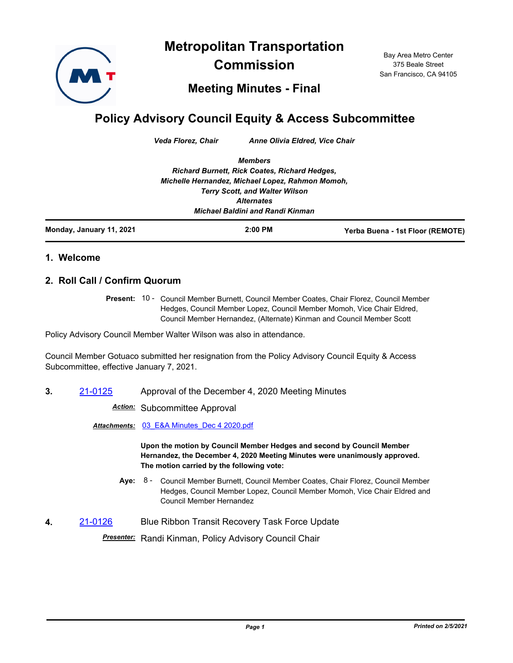**Metropolitan Transportation** 



**Commission**

Bay Area Metro Center 375 Beale Street San Francisco, CA 94105

**Meeting Minutes - Final**

## **Policy Advisory Council Equity & Access Subcommittee**

*Veda Florez, Chair Anne Olivia Eldred, Vice Chair*

*Members Richard Burnett, Rick Coates, Richard Hedges, Michelle Hernandez, Michael Lopez, Rahmon Momoh, Terry Scott, and Walter Wilson Alternates Michael Baldini and Randi Kinman*

| Monday, January 11, 2021 | $2:00$ PM | Yerba Buena - 1st Floor (REMOTE) |
|--------------------------|-----------|----------------------------------|
|                          |           |                                  |

## **1. Welcome**

## **2. Roll Call / Confirm Quorum**

Present: 10 - Council Member Burnett, Council Member Coates, Chair Florez, Council Member Hedges, Council Member Lopez, Council Member Momoh, Vice Chair Eldred, Council Member Hernandez, (Alternate) Kinman and Council Member Scott

Policy Advisory Council Member Walter Wilson was also in attendance.

Council Member Gotuaco submitted her resignation from the Policy Advisory Council Equity & Access Subcommittee, effective January 7, 2021.

**3.** [21-0125](http://mtc.legistar.com/gateway.aspx?m=l&id=/matter.aspx?key=21718) Approval of the December 4, 2020 Meeting Minutes

*Action:* Subcommittee Approval

*Attachments:* [03\\_E&A Minutes\\_Dec 4 2020.pdf](http://mtc.legistar.com/gateway.aspx?M=F&ID=ba4e0ee9-3367-4ddc-975f-33bfd8c379c7.pdf)

**Upon the motion by Council Member Hedges and second by Council Member Hernandez, the December 4, 2020 Meeting Minutes were unanimously approved. The motion carried by the following vote:**

- Aye: 8 Council Member Burnett, Council Member Coates, Chair Florez, Council Member Hedges, Council Member Lopez, Council Member Momoh, Vice Chair Eldred and Council Member Hernandez
- **4.** [21-0126](http://mtc.legistar.com/gateway.aspx?m=l&id=/matter.aspx?key=21719) Blue Ribbon Transit Recovery Task Force Update

*Presenter:* Randi Kinman, Policy Advisory Council Chair